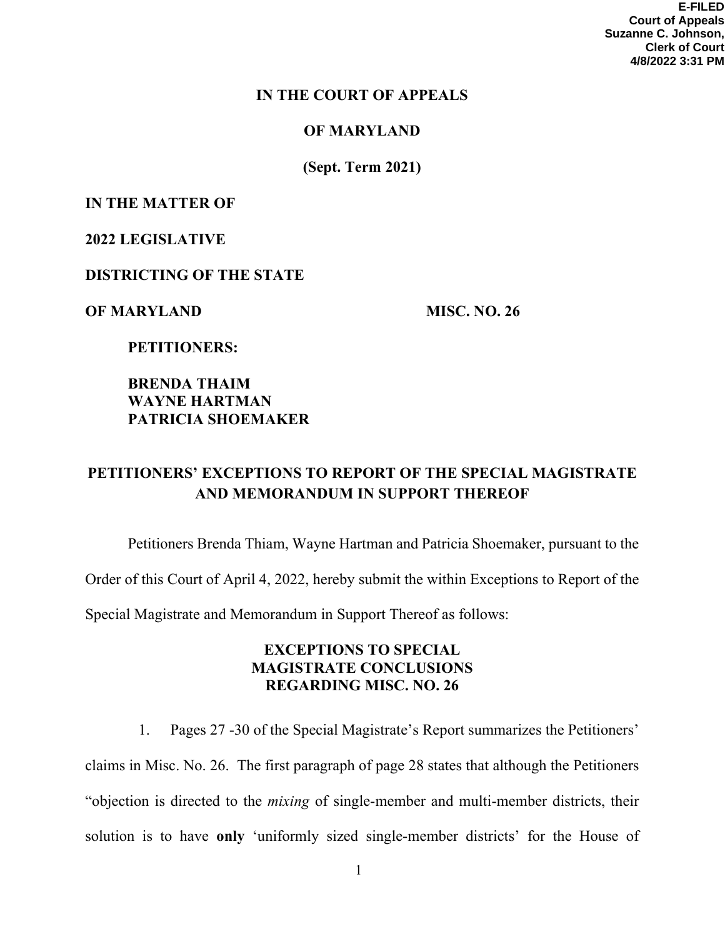### **IN THE COURT OF APPEALS**

### **OF MARYLAND**

**(Sept. Term 2021)** 

# **IN THE MATTER OF**

### **2022 LEGISLATIVE**

### **DISTRICTING OF THE STATE**

### **OF MARYLAND MISC. NO. 26**

 **PETITIONERS:** 

# **BRENDA THAIM WAYNE HARTMAN PATRICIA SHOEMAKER**

# **PETITIONERS' EXCEPTIONS TO REPORT OF THE SPECIAL MAGISTRATE AND MEMORANDUM IN SUPPORT THEREOF**

Petitioners Brenda Thiam, Wayne Hartman and Patricia Shoemaker, pursuant to the Order of this Court of April 4, 2022, hereby submit the within Exceptions to Report of the Special Magistrate and Memorandum in Support Thereof as follows:

# **EXCEPTIONS TO SPECIAL MAGISTRATE CONCLUSIONS REGARDING MISC. NO. 26**

1. Pages 27 -30 of the Special Magistrate's Report summarizes the Petitioners' claims in Misc. No. 26. The first paragraph of page 28 states that although the Petitioners "objection is directed to the *mixing* of single-member and multi-member districts, their solution is to have **only** 'uniformly sized single-member districts' for the House of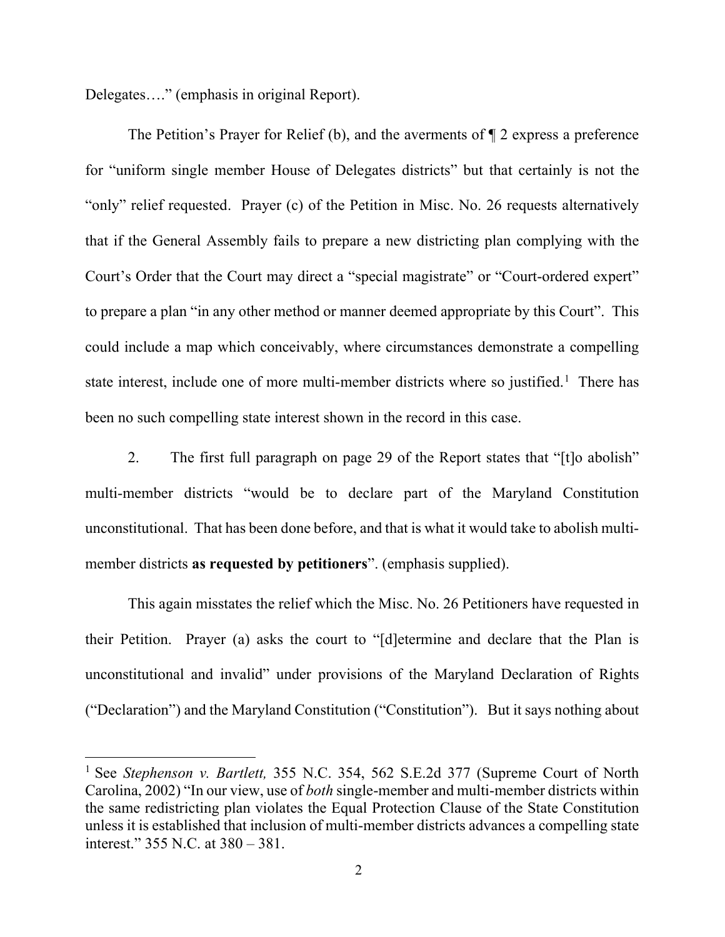Delegates…." (emphasis in original Report).

The Petition's Prayer for Relief (b), and the averments of ¶ 2 express a preference for "uniform single member House of Delegates districts" but that certainly is not the "only" relief requested. Prayer (c) of the Petition in Misc. No. 26 requests alternatively that if the General Assembly fails to prepare a new districting plan complying with the Court's Order that the Court may direct a "special magistrate" or "Court-ordered expert" to prepare a plan "in any other method or manner deemed appropriate by this Court". This could include a map which conceivably, where circumstances demonstrate a compelling state interest, include one of more multi-member districts where so justified.<sup>[1](#page-1-0)</sup> There has been no such compelling state interest shown in the record in this case.

2. The first full paragraph on page 29 of the Report states that "[t]o abolish" multi-member districts "would be to declare part of the Maryland Constitution unconstitutional. That has been done before, and that is what it would take to abolish multimember districts **as requested by petitioners**". (emphasis supplied).

This again misstates the relief which the Misc. No. 26 Petitioners have requested in their Petition. Prayer (a) asks the court to "[d]etermine and declare that the Plan is unconstitutional and invalid" under provisions of the Maryland Declaration of Rights ("Declaration") and the Maryland Constitution ("Constitution"). But it says nothing about

<span id="page-1-0"></span><sup>1</sup> See *Stephenson v. Bartlett,* 355 N.C. 354, 562 S.E.2d 377 (Supreme Court of North Carolina, 2002) "In our view, use of *both* single-member and multi-member districts within the same redistricting plan violates the Equal Protection Clause of the State Constitution unless it is established that inclusion of multi-member districts advances a compelling state interest." 355 N.C. at 380 – 381.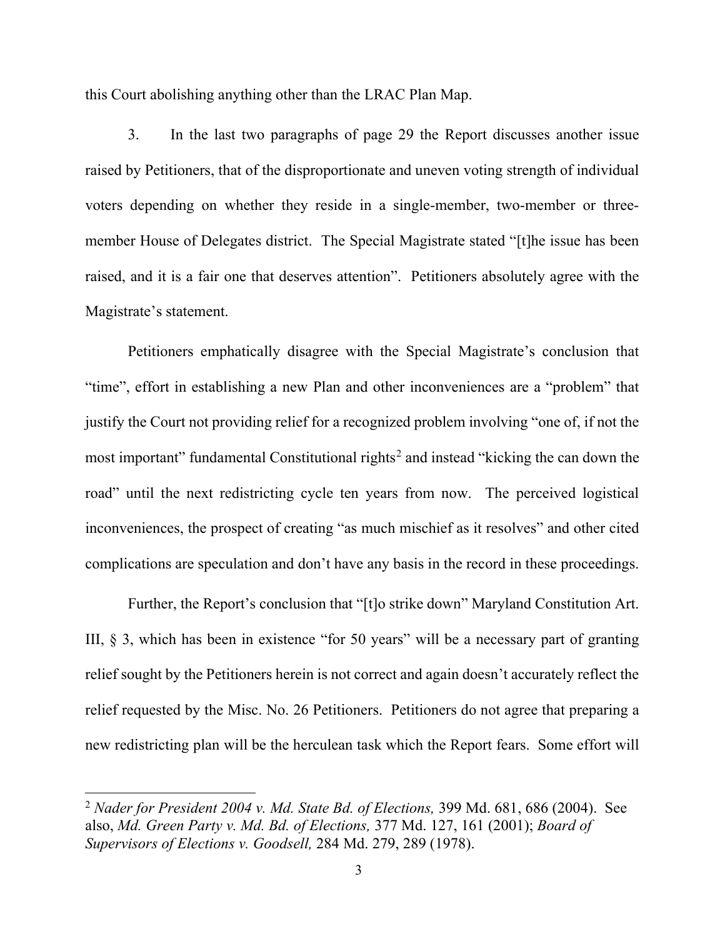this Court abolishing anything other than the LRAC Plan Map.

3. In the last two paragraphs of page 29 the Report discusses another issue raised by Petitioners, that of the disproportionate and uneven voting strength of individual voters depending on whether they reside in a single-member, two-member or threemember House of Delegates district. The Special Magistrate stated "[t]he issue has been raised, and it is a fair one that deserves attention". Petitioners absolutely agree with the Magistrate's statement.

Petitioners emphatically disagree with the Special Magistrate's conclusion that "time", effort in establishing a new Plan and other inconveniences are a "problem" that justify the Court not providing relief for a recognized problem involving "one of, if not the most important" fundamental Constitutional rights<sup>[2](#page-2-0)</sup> and instead "kicking the can down the road" until the next redistricting cycle ten years from now. The perceived logistical inconveniences, the prospect of creating "as much mischief as it resolves" and other cited complications are speculation and don't have any basis in the record in these proceedings.

Further, the Report's conclusion that "[t]o strike down" Maryland Constitution Art. III,  $\S$  3, which has been in existence "for 50 years" will be a necessary part of granting relief sought by the Petitioners herein is not correct and again doesn't accurately reflect the relief requested by the Misc. No. 26 Petitioners. Petitioners do not agree that preparing a new redistricting plan will be the herculean task which the Report fears. Some effort will

<span id="page-2-0"></span><sup>2</sup> *Nader for President 2004 v. Md. State Bd. of Elections,* 399 Md. 681, 686 (2004). See also, *Md. Green Party v. Md. Bd. of Elections,* 377 Md. 127, 161 (2001); *Board of Supervisors of Elections v. Goodsell,* 284 Md. 279, 289 (1978).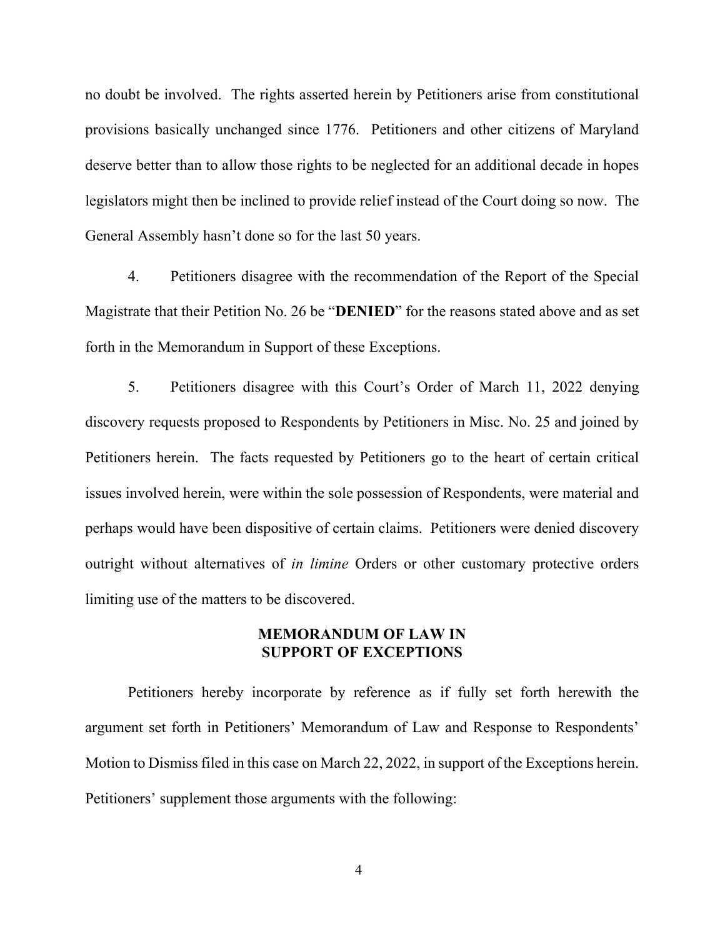no doubt be involved. The rights asserted herein by Petitioners arise from constitutional provisions basically unchanged since 1776. Petitioners and other citizens of Maryland deserve better than to allow those rights to be neglected for an additional decade in hopes legislators might then be inclined to provide relief instead of the Court doing so now. The General Assembly hasn't done so for the last 50 years.

4. Petitioners disagree with the recommendation of the Report of the Special Magistrate that their Petition No. 26 be "**DENIED**" for the reasons stated above and as set forth in the Memorandum in Support of these Exceptions.

5. Petitioners disagree with this Court's Order of March 11, 2022 denying discovery requests proposed to Respondents by Petitioners in Misc. No. 25 and joined by Petitioners herein. The facts requested by Petitioners go to the heart of certain critical issues involved herein, were within the sole possession of Respondents, were material and perhaps would have been dispositive of certain claims. Petitioners were denied discovery outright without alternatives of *in limine* Orders or other customary protective orders limiting use of the matters to be discovered.

### **MEMORANDUM OF LAW IN SUPPORT OF EXCEPTIONS**

Petitioners hereby incorporate by reference as if fully set forth herewith the argument set forth in Petitioners' Memorandum of Law and Response to Respondents' Motion to Dismiss filed in this case on March 22, 2022, in support of the Exceptions herein. Petitioners' supplement those arguments with the following:

4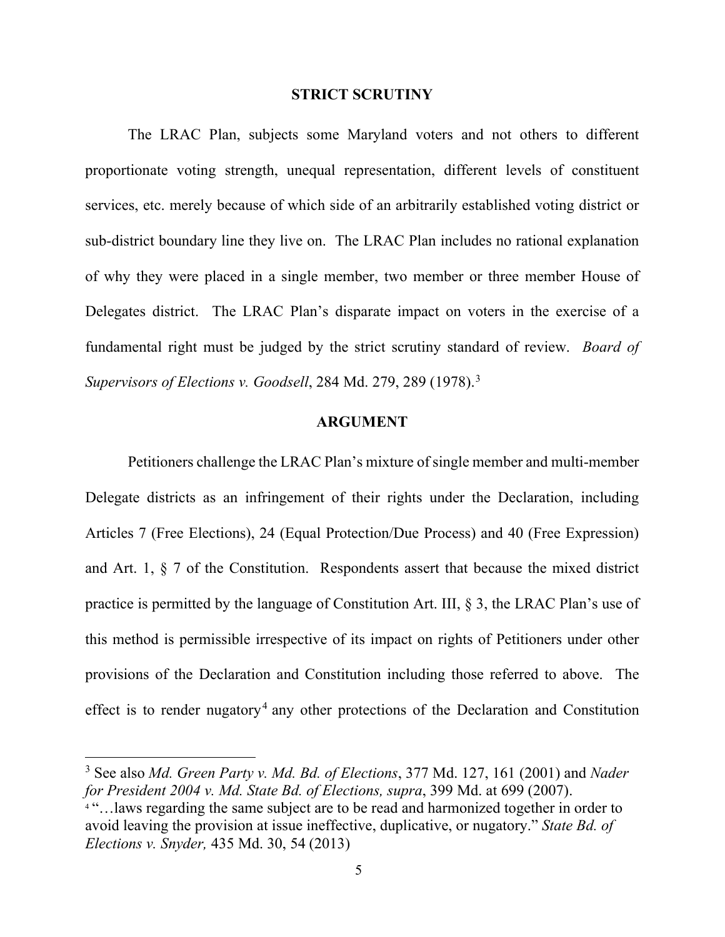#### **STRICT SCRUTINY**

The LRAC Plan, subjects some Maryland voters and not others to different proportionate voting strength, unequal representation, different levels of constituent services, etc. merely because of which side of an arbitrarily established voting district or sub-district boundary line they live on. The LRAC Plan includes no rational explanation of why they were placed in a single member, two member or three member House of Delegates district. The LRAC Plan's disparate impact on voters in the exercise of a fundamental right must be judged by the strict scrutiny standard of review. *Board of Supervisors of Elections v. Goodsell*, 284 Md. 279, 289 (1978).[3](#page-4-0)

### **ARGUMENT**

Petitioners challenge the LRAC Plan's mixture of single member and multi-member Delegate districts as an infringement of their rights under the Declaration, including Articles 7 (Free Elections), 24 (Equal Protection/Due Process) and 40 (Free Expression) and Art. 1, § 7 of the Constitution. Respondents assert that because the mixed district practice is permitted by the language of Constitution Art. III, § 3, the LRAC Plan's use of this method is permissible irrespective of its impact on rights of Petitioners under other provisions of the Declaration and Constitution including those referred to above. The effect is to render nugatory<sup>[4](#page-4-1)</sup> any other protections of the Declaration and Constitution

<span id="page-4-0"></span><sup>3</sup> See also *Md. Green Party v. Md. Bd. of Elections*, 377 Md. 127, 161 (2001) and *Nader for President 2004 v. Md. State Bd. of Elections, supra*, 399 Md. at 699 (2007).

<span id="page-4-1"></span><sup>&</sup>lt;sup>4"</sup>...laws regarding the same subject are to be read and harmonized together in order to avoid leaving the provision at issue ineffective, duplicative, or nugatory." *State Bd. of Elections v. Snyder,* 435 Md. 30, 54 (2013)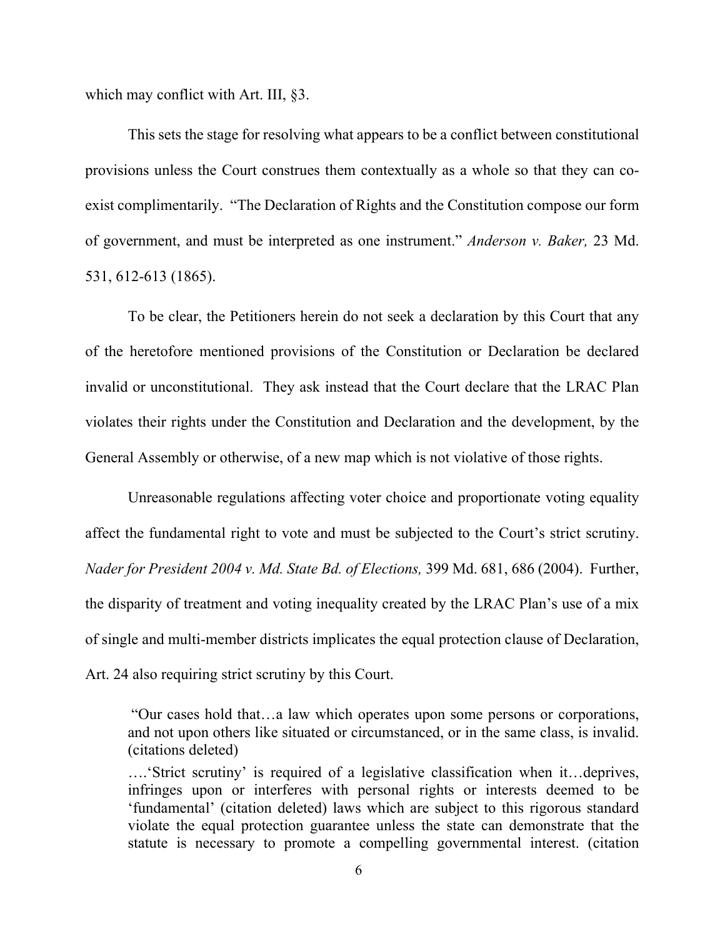which may conflict with Art. III, §3.

This sets the stage for resolving what appears to be a conflict between constitutional provisions unless the Court construes them contextually as a whole so that they can coexist complimentarily. "The Declaration of Rights and the Constitution compose our form of government, and must be interpreted as one instrument." *Anderson v. Baker,* 23 Md. 531, 612-613 (1865).

To be clear, the Petitioners herein do not seek a declaration by this Court that any of the heretofore mentioned provisions of the Constitution or Declaration be declared invalid or unconstitutional. They ask instead that the Court declare that the LRAC Plan violates their rights under the Constitution and Declaration and the development, by the General Assembly or otherwise, of a new map which is not violative of those rights.

Unreasonable regulations affecting voter choice and proportionate voting equality affect the fundamental right to vote and must be subjected to the Court's strict scrutiny. *Nader for President 2004 v. Md. State Bd. of Elections,* 399 Md. 681, 686 (2004). Further, the disparity of treatment and voting inequality created by the LRAC Plan's use of a mix of single and multi-member districts implicates the equal protection clause of Declaration, Art. 24 also requiring strict scrutiny by this Court.

"Our cases hold that…a law which operates upon some persons or corporations, and not upon others like situated or circumstanced, or in the same class, is invalid. (citations deleted)

….'Strict scrutiny' is required of a legislative classification when it…deprives, infringes upon or interferes with personal rights or interests deemed to be 'fundamental' (citation deleted) laws which are subject to this rigorous standard violate the equal protection guarantee unless the state can demonstrate that the statute is necessary to promote a compelling governmental interest. (citation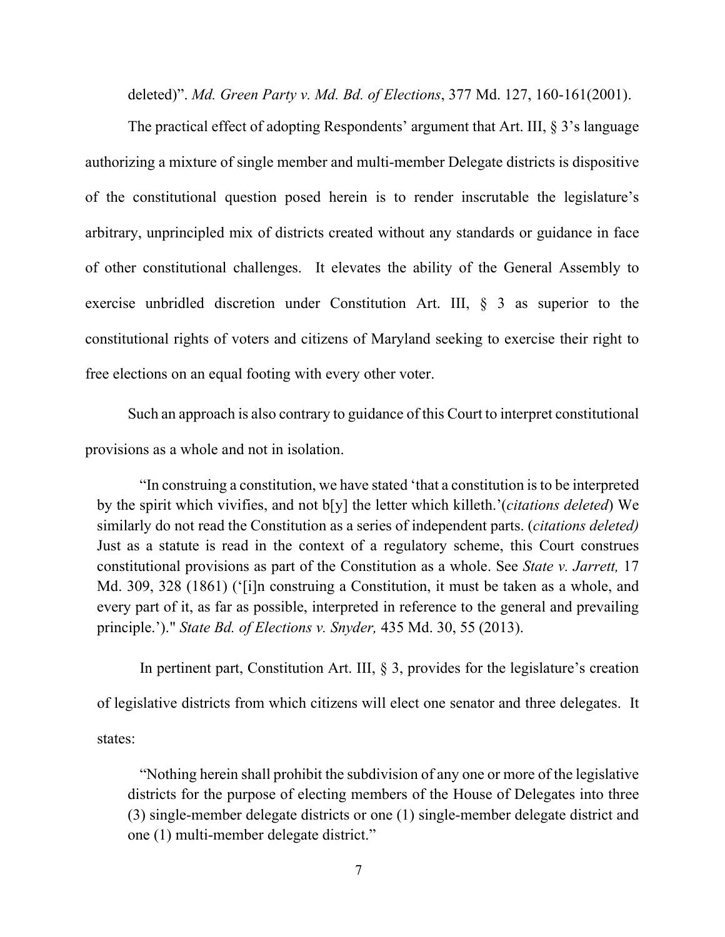deleted)". *Md. Green Party v. Md. Bd. of Elections*, 377 Md. 127, 160-161(2001).

The practical effect of adopting Respondents' argument that Art. III, § 3's language authorizing a mixture of single member and multi-member Delegate districts is dispositive of the constitutional question posed herein is to render inscrutable the legislature's arbitrary, unprincipled mix of districts created without any standards or guidance in face of other constitutional challenges. It elevates the ability of the General Assembly to exercise unbridled discretion under Constitution Art. III, § 3 as superior to the constitutional rights of voters and citizens of Maryland seeking to exercise their right to free elections on an equal footing with every other voter.

Such an approach is also contrary to guidance of this Court to interpret constitutional provisions as a whole and not in isolation.

"In construing a constitution, we have stated 'that a constitution is to be interpreted by the spirit which vivifies, and not b[y] the letter which killeth.'(*citations deleted*) We similarly do not read the Constitution as a series of independent parts. (*citations deleted)* Just as a statute is read in the context of a regulatory scheme, this Court construes constitutional provisions as part of the Constitution as a whole. See *State v. Jarrett,* 17 Md. 309, 328 (1861) ('[i]n construing a Constitution, it must be taken as a whole, and every part of it, as far as possible, interpreted in reference to the general and prevailing principle.')." *State Bd. of Elections v. Snyder,* 435 Md. 30, 55 (2013).

In pertinent part, Constitution Art. III,  $\S$  3, provides for the legislature's creation of legislative districts from which citizens will elect one senator and three delegates. It states:

"Nothing herein shall prohibit the subdivision of any one or more of the legislative districts for the purpose of electing members of the House of Delegates into three (3) single-member delegate districts or one (1) single-member delegate district and one (1) multi-member delegate district."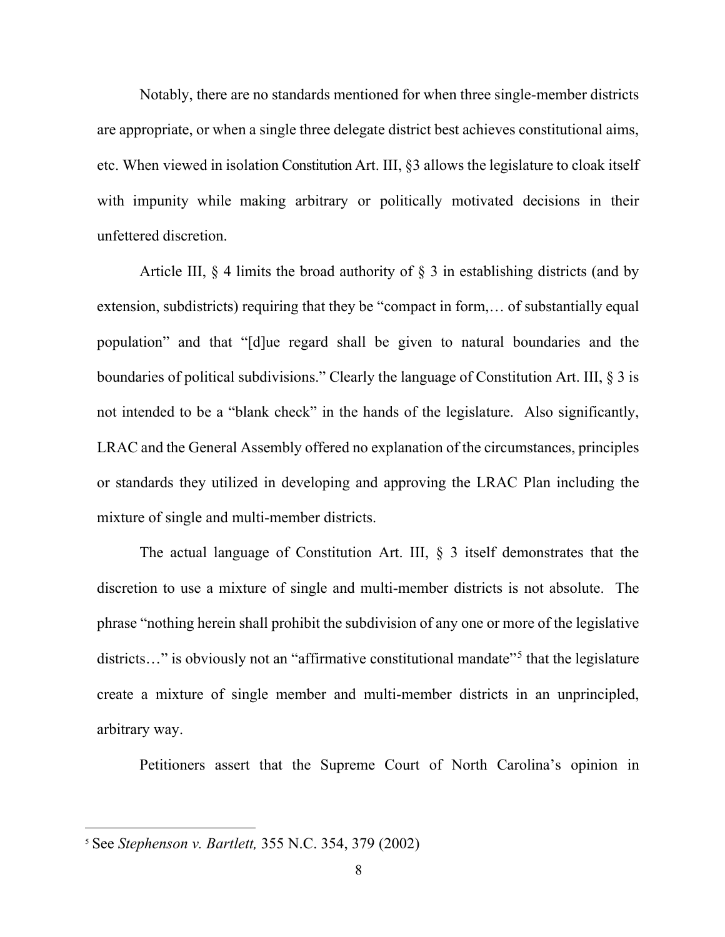Notably, there are no standards mentioned for when three single-member districts are appropriate, or when a single three delegate district best achieves constitutional aims, etc. When viewed in isolation Constitution Art. III, §3 allows the legislature to cloak itself with impunity while making arbitrary or politically motivated decisions in their unfettered discretion.

Article III,  $\S$  4 limits the broad authority of  $\S$  3 in establishing districts (and by extension, subdistricts) requiring that they be "compact in form,… of substantially equal population" and that "[d]ue regard shall be given to natural boundaries and the boundaries of political subdivisions." Clearly the language of Constitution Art. III, § 3 is not intended to be a "blank check" in the hands of the legislature. Also significantly, LRAC and the General Assembly offered no explanation of the circumstances, principles or standards they utilized in developing and approving the LRAC Plan including the mixture of single and multi-member districts.

The actual language of Constitution Art. III, § 3 itself demonstrates that the discretion to use a mixture of single and multi-member districts is not absolute. The phrase "nothing herein shall prohibit the subdivision of any one or more of the legislative districts…" is obviously not an "affirmative constitutional mandate"<sup>[5](#page-7-0)</sup> that the legislature create a mixture of single member and multi-member districts in an unprincipled, arbitrary way.

Petitioners assert that the Supreme Court of North Carolina's opinion in

<span id="page-7-0"></span><sup>5</sup> See *Stephenson v. Bartlett,* 355 N.C. 354, 379 (2002)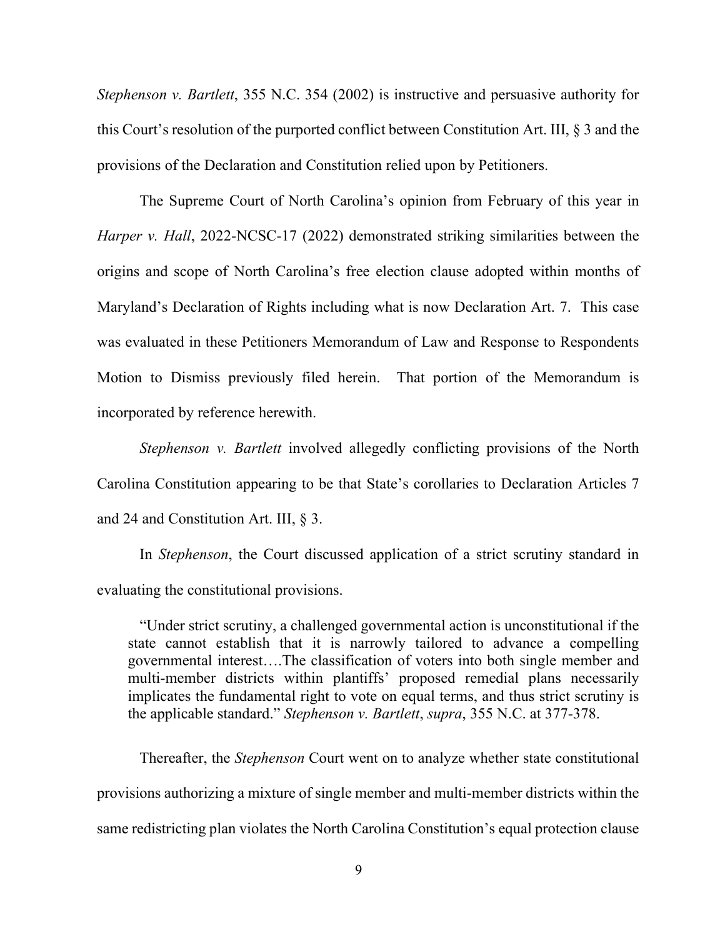*Stephenson v. Bartlett*, 355 N.C. 354 (2002) is instructive and persuasive authority for this Court's resolution of the purported conflict between Constitution Art. III, § 3 and the provisions of the Declaration and Constitution relied upon by Petitioners.

The Supreme Court of North Carolina's opinion from February of this year in *Harper v. Hall*, 2022-NCSC-17 (2022) demonstrated striking similarities between the origins and scope of North Carolina's free election clause adopted within months of Maryland's Declaration of Rights including what is now Declaration Art. 7. This case was evaluated in these Petitioners Memorandum of Law and Response to Respondents Motion to Dismiss previously filed herein. That portion of the Memorandum is incorporated by reference herewith.

*Stephenson v. Bartlett* involved allegedly conflicting provisions of the North Carolina Constitution appearing to be that State's corollaries to Declaration Articles 7 and 24 and Constitution Art. III, § 3.

In *Stephenson*, the Court discussed application of a strict scrutiny standard in evaluating the constitutional provisions.

"Under strict scrutiny, a challenged governmental action is unconstitutional if the state cannot establish that it is narrowly tailored to advance a compelling governmental interest….The classification of voters into both single member and multi-member districts within plantiffs' proposed remedial plans necessarily implicates the fundamental right to vote on equal terms, and thus strict scrutiny is the applicable standard." *Stephenson v. Bartlett*, *supra*, 355 N.C. at 377-378.

Thereafter, the *Stephenson* Court went on to analyze whether state constitutional provisions authorizing a mixture of single member and multi-member districts within the same redistricting plan violates the North Carolina Constitution's equal protection clause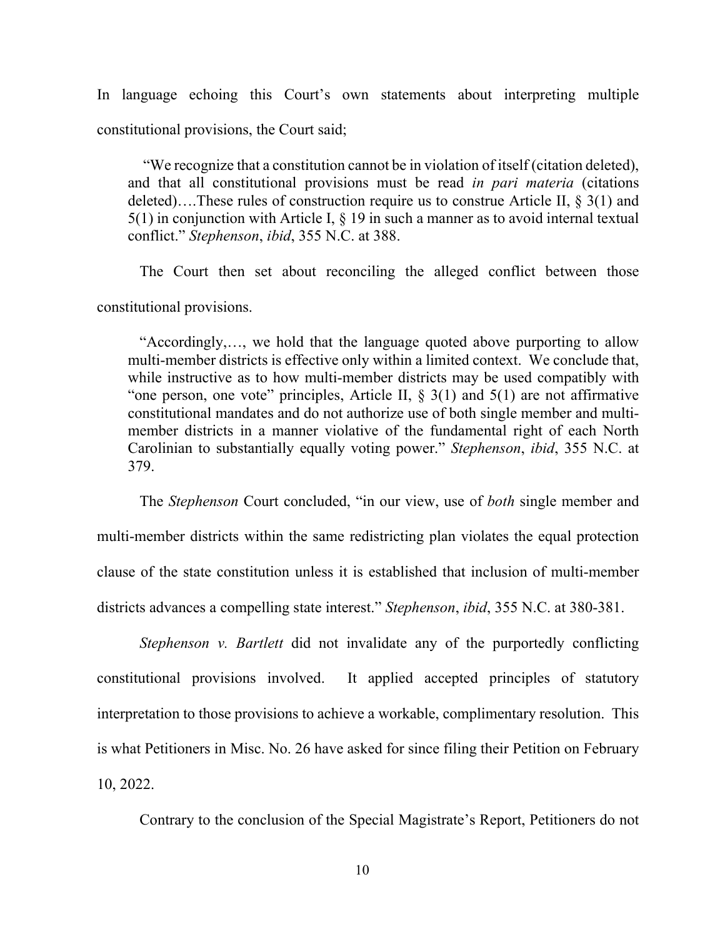In language echoing this Court's own statements about interpreting multiple constitutional provisions, the Court said;

"We recognize that a constitution cannot be in violation of itself (citation deleted), and that all constitutional provisions must be read *in pari materia* (citations deleted)....These rules of construction require us to construe Article II,  $\S 3(1)$  and  $5(1)$  in conjunction with Article I,  $\S$  19 in such a manner as to avoid internal textual conflict." *Stephenson*, *ibid*, 355 N.C. at 388.

The Court then set about reconciling the alleged conflict between those constitutional provisions.

"Accordingly,…, we hold that the language quoted above purporting to allow multi-member districts is effective only within a limited context. We conclude that, while instructive as to how multi-member districts may be used compatibly with "one person, one vote" principles, Article II,  $\S$  3(1) and 5(1) are not affirmative constitutional mandates and do not authorize use of both single member and multimember districts in a manner violative of the fundamental right of each North Carolinian to substantially equally voting power." *Stephenson*, *ibid*, 355 N.C. at 379.

The *Stephenson* Court concluded, "in our view, use of *both* single member and multi-member districts within the same redistricting plan violates the equal protection clause of the state constitution unless it is established that inclusion of multi-member districts advances a compelling state interest." *Stephenson*, *ibid*, 355 N.C. at 380-381.

*Stephenson v. Bartlett* did not invalidate any of the purportedly conflicting constitutional provisions involved. It applied accepted principles of statutory interpretation to those provisions to achieve a workable, complimentary resolution. This is what Petitioners in Misc. No. 26 have asked for since filing their Petition on February 10, 2022.

Contrary to the conclusion of the Special Magistrate's Report, Petitioners do not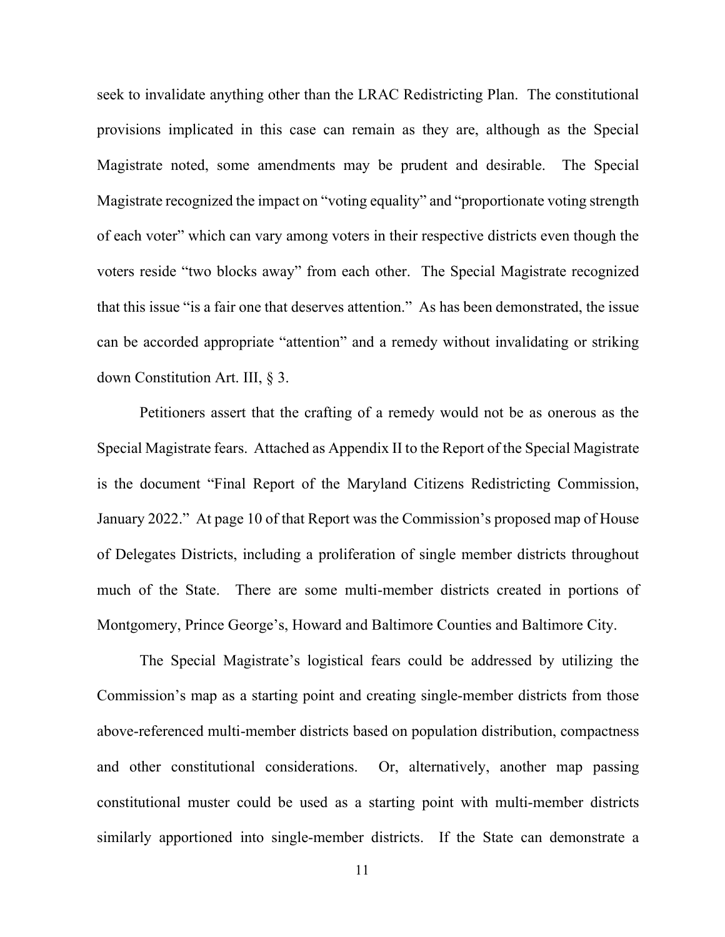seek to invalidate anything other than the LRAC Redistricting Plan. The constitutional provisions implicated in this case can remain as they are, although as the Special Magistrate noted, some amendments may be prudent and desirable. The Special Magistrate recognized the impact on "voting equality" and "proportionate voting strength of each voter" which can vary among voters in their respective districts even though the voters reside "two blocks away" from each other. The Special Magistrate recognized that this issue "is a fair one that deserves attention." As has been demonstrated, the issue can be accorded appropriate "attention" and a remedy without invalidating or striking down Constitution Art. III, § 3.

Petitioners assert that the crafting of a remedy would not be as onerous as the Special Magistrate fears. Attached as Appendix II to the Report of the Special Magistrate is the document "Final Report of the Maryland Citizens Redistricting Commission, January 2022." At page 10 of that Report was the Commission's proposed map of House of Delegates Districts, including a proliferation of single member districts throughout much of the State. There are some multi-member districts created in portions of Montgomery, Prince George's, Howard and Baltimore Counties and Baltimore City.

The Special Magistrate's logistical fears could be addressed by utilizing the Commission's map as a starting point and creating single-member districts from those above-referenced multi-member districts based on population distribution, compactness and other constitutional considerations. Or, alternatively, another map passing constitutional muster could be used as a starting point with multi-member districts similarly apportioned into single-member districts. If the State can demonstrate a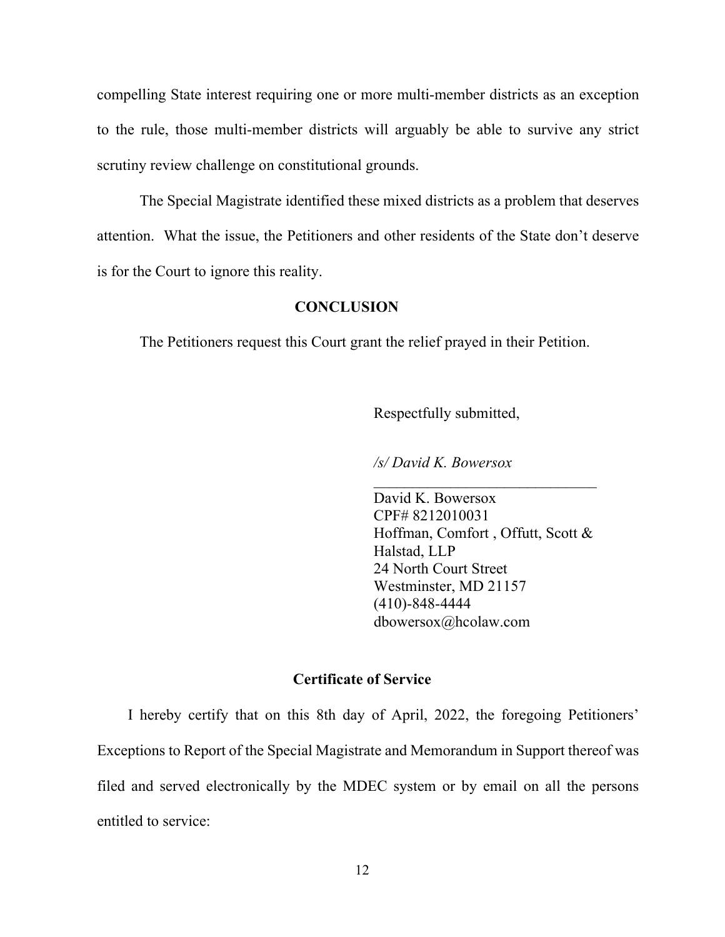compelling State interest requiring one or more multi-member districts as an exception to the rule, those multi-member districts will arguably be able to survive any strict scrutiny review challenge on constitutional grounds.

The Special Magistrate identified these mixed districts as a problem that deserves attention. What the issue, the Petitioners and other residents of the State don't deserve is for the Court to ignore this reality.

### **CONCLUSION**

The Petitioners request this Court grant the relief prayed in their Petition.

Respectfully submitted,

*/s/ David K. Bowersox*

David K. Bowersox CPF# 8212010031 Hoffman, Comfort , Offutt, Scott & Halstad, LLP 24 North Court Street Westminster, MD 21157 (410)-848-4444 dbowersox@hcolaw.com

 $\mathcal{L}=\{1,2,3,4,5\}$ 

# **Certificate of Service**

I hereby certify that on this 8th day of April, 2022, the foregoing Petitioners' Exceptions to Report of the Special Magistrate and Memorandum in Support thereof was filed and served electronically by the MDEC system or by email on all the persons entitled to service: